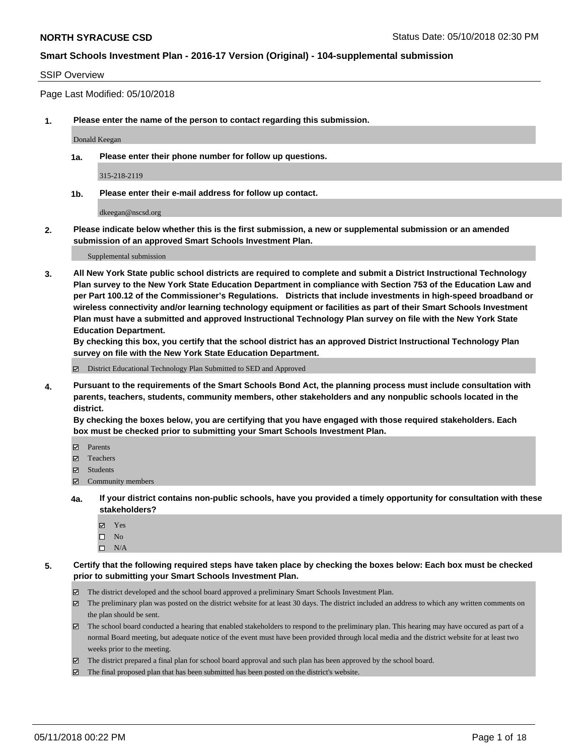#### SSIP Overview

Page Last Modified: 05/10/2018

**1. Please enter the name of the person to contact regarding this submission.**

Donald Keegan

**1a. Please enter their phone number for follow up questions.**

315-218-2119

**1b. Please enter their e-mail address for follow up contact.**

dkeegan@nscsd.org

**2. Please indicate below whether this is the first submission, a new or supplemental submission or an amended submission of an approved Smart Schools Investment Plan.**

Supplemental submission

**3. All New York State public school districts are required to complete and submit a District Instructional Technology Plan survey to the New York State Education Department in compliance with Section 753 of the Education Law and per Part 100.12 of the Commissioner's Regulations. Districts that include investments in high-speed broadband or wireless connectivity and/or learning technology equipment or facilities as part of their Smart Schools Investment Plan must have a submitted and approved Instructional Technology Plan survey on file with the New York State Education Department.** 

**By checking this box, you certify that the school district has an approved District Instructional Technology Plan survey on file with the New York State Education Department.**

District Educational Technology Plan Submitted to SED and Approved

**4. Pursuant to the requirements of the Smart Schools Bond Act, the planning process must include consultation with parents, teachers, students, community members, other stakeholders and any nonpublic schools located in the district.** 

**By checking the boxes below, you are certifying that you have engaged with those required stakeholders. Each box must be checked prior to submitting your Smart Schools Investment Plan.**

- Parents
- Teachers
- Students
- $\Xi$  Community members
- **4a. If your district contains non-public schools, have you provided a timely opportunity for consultation with these stakeholders?**
	- Yes
	- $\square$  No
	- $\square$  N/A
- **5. Certify that the following required steps have taken place by checking the boxes below: Each box must be checked prior to submitting your Smart Schools Investment Plan.**
	- The district developed and the school board approved a preliminary Smart Schools Investment Plan.
	- $\boxtimes$  The preliminary plan was posted on the district website for at least 30 days. The district included an address to which any written comments on the plan should be sent.
	- $\boxtimes$  The school board conducted a hearing that enabled stakeholders to respond to the preliminary plan. This hearing may have occured as part of a normal Board meeting, but adequate notice of the event must have been provided through local media and the district website for at least two weeks prior to the meeting.
	- The district prepared a final plan for school board approval and such plan has been approved by the school board.
	- $\boxtimes$  The final proposed plan that has been submitted has been posted on the district's website.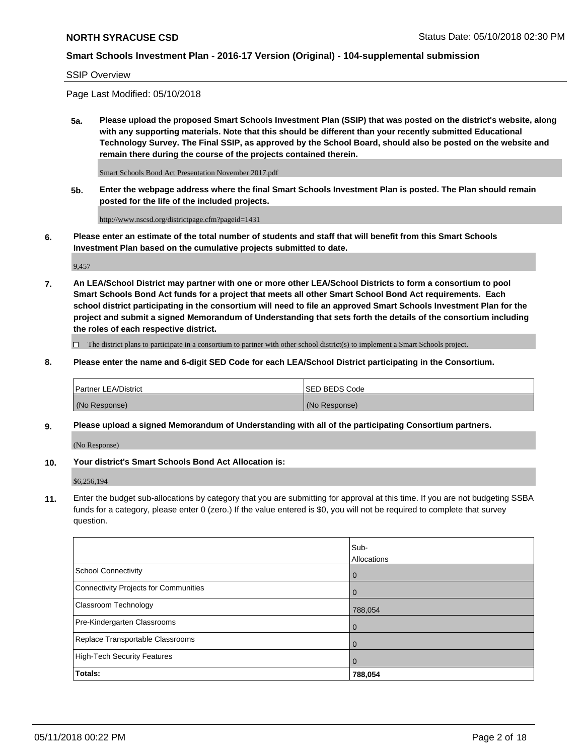#### SSIP Overview

Page Last Modified: 05/10/2018

**5a. Please upload the proposed Smart Schools Investment Plan (SSIP) that was posted on the district's website, along with any supporting materials. Note that this should be different than your recently submitted Educational Technology Survey. The Final SSIP, as approved by the School Board, should also be posted on the website and remain there during the course of the projects contained therein.**

Smart Schools Bond Act Presentation November 2017.pdf

**5b. Enter the webpage address where the final Smart Schools Investment Plan is posted. The Plan should remain posted for the life of the included projects.**

http://www.nscsd.org/districtpage.cfm?pageid=1431

**6. Please enter an estimate of the total number of students and staff that will benefit from this Smart Schools Investment Plan based on the cumulative projects submitted to date.**

9,457

**7. An LEA/School District may partner with one or more other LEA/School Districts to form a consortium to pool Smart Schools Bond Act funds for a project that meets all other Smart School Bond Act requirements. Each school district participating in the consortium will need to file an approved Smart Schools Investment Plan for the project and submit a signed Memorandum of Understanding that sets forth the details of the consortium including the roles of each respective district.**

 $\Box$  The district plans to participate in a consortium to partner with other school district(s) to implement a Smart Schools project.

**8. Please enter the name and 6-digit SED Code for each LEA/School District participating in the Consortium.**

| <b>Partner LEA/District</b> | <b>ISED BEDS Code</b> |
|-----------------------------|-----------------------|
| (No Response)               | (No Response)         |

#### **9. Please upload a signed Memorandum of Understanding with all of the participating Consortium partners.**

(No Response)

**10. Your district's Smart Schools Bond Act Allocation is:**

\$6,256,194

**11.** Enter the budget sub-allocations by category that you are submitting for approval at this time. If you are not budgeting SSBA funds for a category, please enter 0 (zero.) If the value entered is \$0, you will not be required to complete that survey question.

|                                              | Sub-<br>Allocations |
|----------------------------------------------|---------------------|
| <b>School Connectivity</b>                   | $\mathbf 0$         |
| <b>Connectivity Projects for Communities</b> | 0                   |
| Classroom Technology                         | 788,054             |
| Pre-Kindergarten Classrooms                  | $\Omega$            |
| Replace Transportable Classrooms             | 0                   |
| <b>High-Tech Security Features</b>           | $\overline{0}$      |
| Totals:                                      | 788,054             |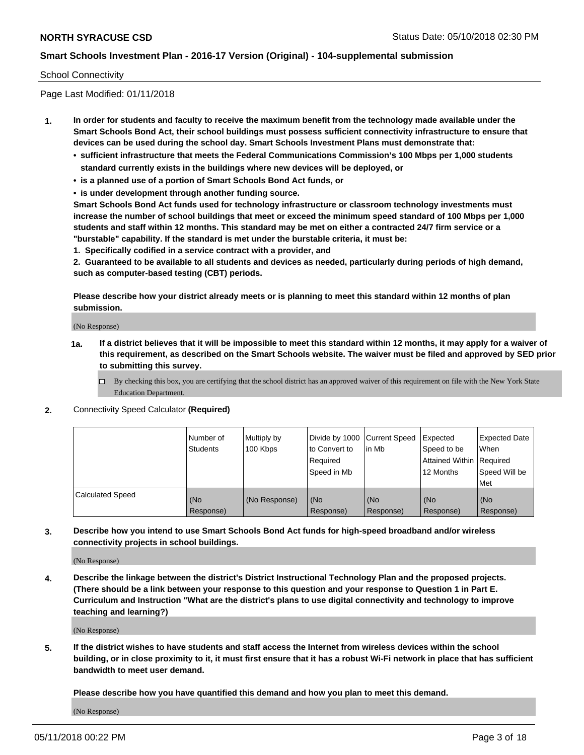#### School Connectivity

Page Last Modified: 01/11/2018

- **1. In order for students and faculty to receive the maximum benefit from the technology made available under the Smart Schools Bond Act, their school buildings must possess sufficient connectivity infrastructure to ensure that devices can be used during the school day. Smart Schools Investment Plans must demonstrate that:**
	- **• sufficient infrastructure that meets the Federal Communications Commission's 100 Mbps per 1,000 students standard currently exists in the buildings where new devices will be deployed, or**
	- **• is a planned use of a portion of Smart Schools Bond Act funds, or**
	- **• is under development through another funding source.**

**Smart Schools Bond Act funds used for technology infrastructure or classroom technology investments must increase the number of school buildings that meet or exceed the minimum speed standard of 100 Mbps per 1,000 students and staff within 12 months. This standard may be met on either a contracted 24/7 firm service or a "burstable" capability. If the standard is met under the burstable criteria, it must be:**

**1. Specifically codified in a service contract with a provider, and**

**2. Guaranteed to be available to all students and devices as needed, particularly during periods of high demand, such as computer-based testing (CBT) periods.**

**Please describe how your district already meets or is planning to meet this standard within 12 months of plan submission.**

(No Response)

- **1a. If a district believes that it will be impossible to meet this standard within 12 months, it may apply for a waiver of this requirement, as described on the Smart Schools website. The waiver must be filed and approved by SED prior to submitting this survey.**
	- By checking this box, you are certifying that the school district has an approved waiver of this requirement on file with the New York State Education Department.
- **2.** Connectivity Speed Calculator **(Required)**

|                         | l Number of<br><b>Students</b> | Multiply by<br>100 Kbps | Divide by 1000 Current Speed<br>to Convert to<br>Required<br>l Speed in Mb | lin Mb           | Expected<br>Speed to be<br>Attained Within Required<br>12 Months | <b>Expected Date</b><br><b>When</b><br>Speed Will be<br>l Met |
|-------------------------|--------------------------------|-------------------------|----------------------------------------------------------------------------|------------------|------------------------------------------------------------------|---------------------------------------------------------------|
| <b>Calculated Speed</b> | (No<br>Response)               | (No Response)           | (No<br>Response)                                                           | (No<br>Response) | (No<br>Response)                                                 | l (No<br>Response)                                            |

**3. Describe how you intend to use Smart Schools Bond Act funds for high-speed broadband and/or wireless connectivity projects in school buildings.**

(No Response)

**4. Describe the linkage between the district's District Instructional Technology Plan and the proposed projects. (There should be a link between your response to this question and your response to Question 1 in Part E. Curriculum and Instruction "What are the district's plans to use digital connectivity and technology to improve teaching and learning?)**

(No Response)

**5. If the district wishes to have students and staff access the Internet from wireless devices within the school building, or in close proximity to it, it must first ensure that it has a robust Wi-Fi network in place that has sufficient bandwidth to meet user demand.**

**Please describe how you have quantified this demand and how you plan to meet this demand.**

(No Response)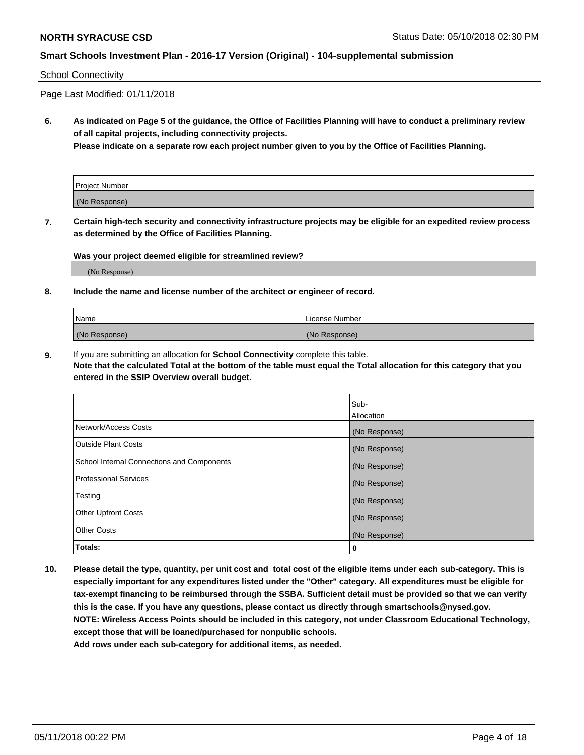#### School Connectivity

Page Last Modified: 01/11/2018

**6. As indicated on Page 5 of the guidance, the Office of Facilities Planning will have to conduct a preliminary review of all capital projects, including connectivity projects.**

**Please indicate on a separate row each project number given to you by the Office of Facilities Planning.**

| Project Number |  |
|----------------|--|
| (No Response)  |  |

**7. Certain high-tech security and connectivity infrastructure projects may be eligible for an expedited review process as determined by the Office of Facilities Planning.**

#### **Was your project deemed eligible for streamlined review?**

(No Response)

#### **8. Include the name and license number of the architect or engineer of record.**

| Name          | License Number |
|---------------|----------------|
| (No Response) | (No Response)  |

**9.** If you are submitting an allocation for **School Connectivity** complete this table.

**Note that the calculated Total at the bottom of the table must equal the Total allocation for this category that you entered in the SSIP Overview overall budget.** 

|                                            | Sub-          |
|--------------------------------------------|---------------|
|                                            | Allocation    |
| Network/Access Costs                       | (No Response) |
| <b>Outside Plant Costs</b>                 | (No Response) |
| School Internal Connections and Components | (No Response) |
| Professional Services                      | (No Response) |
| Testing                                    | (No Response) |
| <b>Other Upfront Costs</b>                 | (No Response) |
| <b>Other Costs</b>                         | (No Response) |
| Totals:                                    | 0             |

**10. Please detail the type, quantity, per unit cost and total cost of the eligible items under each sub-category. This is especially important for any expenditures listed under the "Other" category. All expenditures must be eligible for tax-exempt financing to be reimbursed through the SSBA. Sufficient detail must be provided so that we can verify this is the case. If you have any questions, please contact us directly through smartschools@nysed.gov. NOTE: Wireless Access Points should be included in this category, not under Classroom Educational Technology, except those that will be loaned/purchased for nonpublic schools.**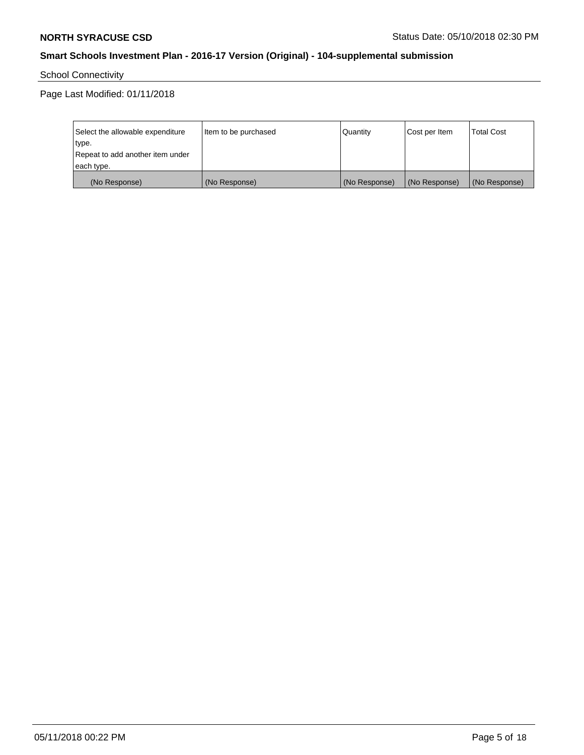School Connectivity

Page Last Modified: 01/11/2018

| Select the allowable expenditure | Item to be purchased | Quantity      | Cost per Item | <b>Total Cost</b> |
|----------------------------------|----------------------|---------------|---------------|-------------------|
| type.                            |                      |               |               |                   |
| Repeat to add another item under |                      |               |               |                   |
| each type.                       |                      |               |               |                   |
| (No Response)                    | (No Response)        | (No Response) | (No Response) | (No Response)     |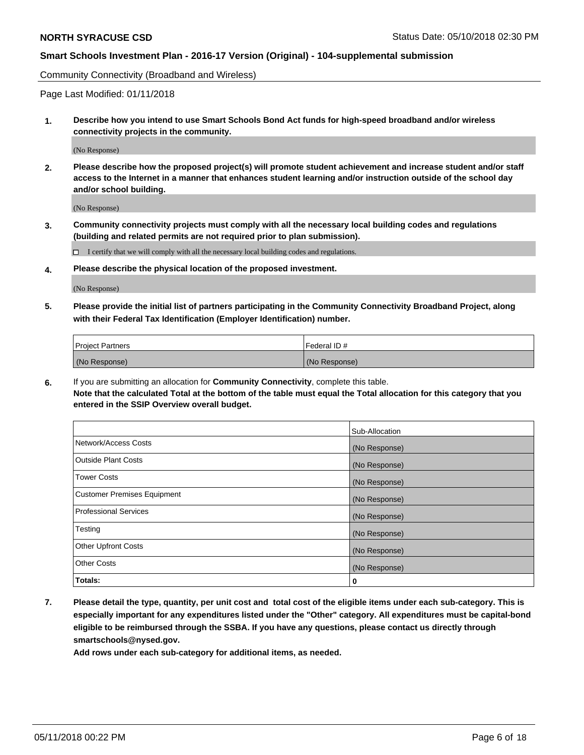Community Connectivity (Broadband and Wireless)

Page Last Modified: 01/11/2018

**1. Describe how you intend to use Smart Schools Bond Act funds for high-speed broadband and/or wireless connectivity projects in the community.**

(No Response)

**2. Please describe how the proposed project(s) will promote student achievement and increase student and/or staff access to the Internet in a manner that enhances student learning and/or instruction outside of the school day and/or school building.**

(No Response)

**3. Community connectivity projects must comply with all the necessary local building codes and regulations (building and related permits are not required prior to plan submission).**

 $\Box$  I certify that we will comply with all the necessary local building codes and regulations.

**4. Please describe the physical location of the proposed investment.**

(No Response)

**5. Please provide the initial list of partners participating in the Community Connectivity Broadband Project, along with their Federal Tax Identification (Employer Identification) number.**

| <b>Project Partners</b> | l Federal ID # |
|-------------------------|----------------|
| (No Response)           | (No Response)  |

**6.** If you are submitting an allocation for **Community Connectivity**, complete this table. **Note that the calculated Total at the bottom of the table must equal the Total allocation for this category that you entered in the SSIP Overview overall budget.**

|                                    | Sub-Allocation |
|------------------------------------|----------------|
| Network/Access Costs               | (No Response)  |
| Outside Plant Costs                | (No Response)  |
| <b>Tower Costs</b>                 | (No Response)  |
| <b>Customer Premises Equipment</b> | (No Response)  |
| Professional Services              | (No Response)  |
| Testing                            | (No Response)  |
| <b>Other Upfront Costs</b>         | (No Response)  |
| <b>Other Costs</b>                 | (No Response)  |
| Totals:                            | 0              |

**7. Please detail the type, quantity, per unit cost and total cost of the eligible items under each sub-category. This is especially important for any expenditures listed under the "Other" category. All expenditures must be capital-bond eligible to be reimbursed through the SSBA. If you have any questions, please contact us directly through smartschools@nysed.gov.**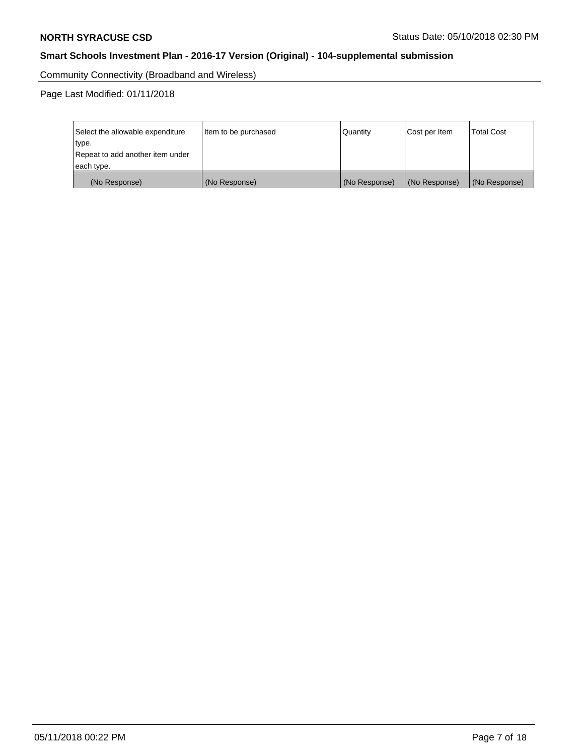Community Connectivity (Broadband and Wireless)

Page Last Modified: 01/11/2018

| Select the allowable expenditure<br>type.<br>Repeat to add another item under | Item to be purchased | Quantity      | Cost per Item | <b>Total Cost</b> |
|-------------------------------------------------------------------------------|----------------------|---------------|---------------|-------------------|
| each type.                                                                    |                      |               |               |                   |
| (No Response)                                                                 | (No Response)        | (No Response) | (No Response) | (No Response)     |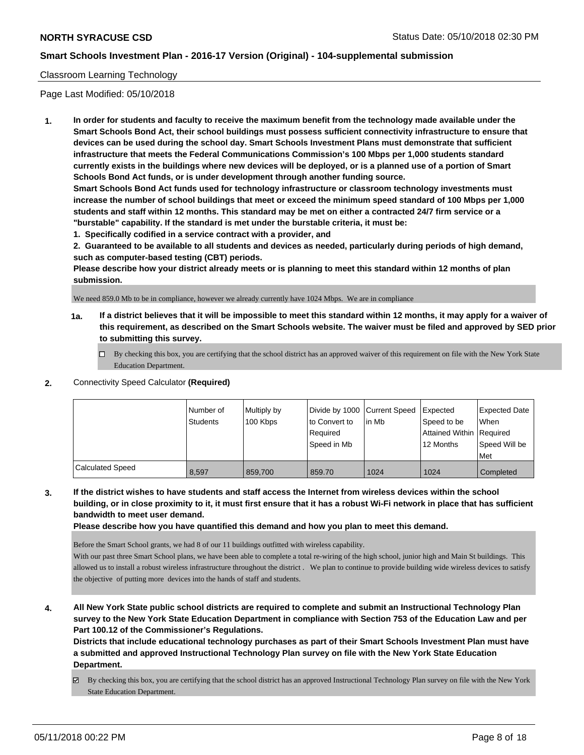## Classroom Learning Technology

Page Last Modified: 05/10/2018

**1. In order for students and faculty to receive the maximum benefit from the technology made available under the Smart Schools Bond Act, their school buildings must possess sufficient connectivity infrastructure to ensure that devices can be used during the school day. Smart Schools Investment Plans must demonstrate that sufficient infrastructure that meets the Federal Communications Commission's 100 Mbps per 1,000 students standard currently exists in the buildings where new devices will be deployed, or is a planned use of a portion of Smart Schools Bond Act funds, or is under development through another funding source.**

**Smart Schools Bond Act funds used for technology infrastructure or classroom technology investments must increase the number of school buildings that meet or exceed the minimum speed standard of 100 Mbps per 1,000 students and staff within 12 months. This standard may be met on either a contracted 24/7 firm service or a "burstable" capability. If the standard is met under the burstable criteria, it must be:**

**1. Specifically codified in a service contract with a provider, and**

**2. Guaranteed to be available to all students and devices as needed, particularly during periods of high demand, such as computer-based testing (CBT) periods.**

**Please describe how your district already meets or is planning to meet this standard within 12 months of plan submission.**

We need 859.0 Mb to be in compliance, however we already currently have 1024 Mbps. We are in compliance

- **1a. If a district believes that it will be impossible to meet this standard within 12 months, it may apply for a waiver of this requirement, as described on the Smart Schools website. The waiver must be filed and approved by SED prior to submitting this survey.**
	- By checking this box, you are certifying that the school district has an approved waiver of this requirement on file with the New York State Education Department.
- **2.** Connectivity Speed Calculator **(Required)**

|                         | I Number of<br><b>Students</b> | Multiply by<br>100 Kbps | Divide by 1000 Current Speed<br>to Convert to<br>Required<br>Speed in Mb | lin Mb | <b>I</b> Expected<br>Speed to be<br>Attained Within   Required<br>12 Months | Expected Date<br>When<br>Speed Will be<br>Met |
|-------------------------|--------------------------------|-------------------------|--------------------------------------------------------------------------|--------|-----------------------------------------------------------------------------|-----------------------------------------------|
| <b>Calculated Speed</b> | 8.597                          | 859,700                 | 859.70                                                                   | 1024   | 1024                                                                        | Completed                                     |

**3. If the district wishes to have students and staff access the Internet from wireless devices within the school building, or in close proximity to it, it must first ensure that it has a robust Wi-Fi network in place that has sufficient bandwidth to meet user demand.**

**Please describe how you have quantified this demand and how you plan to meet this demand.**

Before the Smart School grants, we had 8 of our 11 buildings outfitted with wireless capability.

With our past three Smart School plans, we have been able to complete a total re-wiring of the high school, junior high and Main St buildings. This allowed us to install a robust wireless infrastructure throughout the district . We plan to continue to provide building wide wireless devices to satisfy the objective of putting more devices into the hands of staff and students.

**4. All New York State public school districts are required to complete and submit an Instructional Technology Plan survey to the New York State Education Department in compliance with Section 753 of the Education Law and per Part 100.12 of the Commissioner's Regulations.**

**Districts that include educational technology purchases as part of their Smart Schools Investment Plan must have a submitted and approved Instructional Technology Plan survey on file with the New York State Education Department.**

By checking this box, you are certifying that the school district has an approved Instructional Technology Plan survey on file with the New York State Education Department.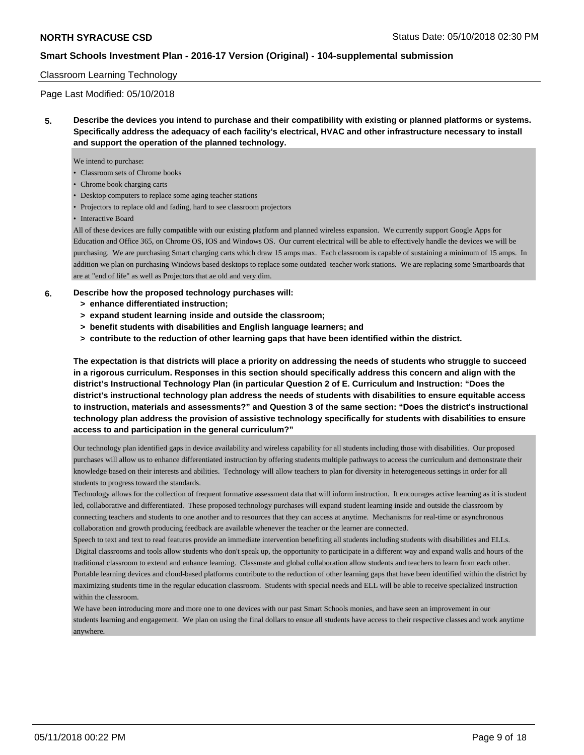## Classroom Learning Technology

Page Last Modified: 05/10/2018

**5. Describe the devices you intend to purchase and their compatibility with existing or planned platforms or systems. Specifically address the adequacy of each facility's electrical, HVAC and other infrastructure necessary to install and support the operation of the planned technology.**

We intend to purchase:

- Classroom sets of Chrome books
- Chrome book charging carts
- Desktop computers to replace some aging teacher stations
- Projectors to replace old and fading, hard to see classroom projectors

• Interactive Board

All of these devices are fully compatible with our existing platform and planned wireless expansion. We currently support Google Apps for Education and Office 365, on Chrome OS, IOS and Windows OS. Our current electrical will be able to effectively handle the devices we will be purchasing. We are purchasing Smart charging carts which draw 15 amps max. Each classroom is capable of sustaining a minimum of 15 amps. In addition we plan on purchasing Windows based desktops to replace some outdated teacher work stations. We are replacing some Smartboards that are at "end of life" as well as Projectors that ae old and very dim.

#### **6. Describe how the proposed technology purchases will:**

- **> enhance differentiated instruction;**
- **> expand student learning inside and outside the classroom;**
- **> benefit students with disabilities and English language learners; and**
- **> contribute to the reduction of other learning gaps that have been identified within the district.**

**The expectation is that districts will place a priority on addressing the needs of students who struggle to succeed in a rigorous curriculum. Responses in this section should specifically address this concern and align with the district's Instructional Technology Plan (in particular Question 2 of E. Curriculum and Instruction: "Does the district's instructional technology plan address the needs of students with disabilities to ensure equitable access to instruction, materials and assessments?" and Question 3 of the same section: "Does the district's instructional technology plan address the provision of assistive technology specifically for students with disabilities to ensure access to and participation in the general curriculum?"**

Our technology plan identified gaps in device availability and wireless capability for all students including those with disabilities. Our proposed purchases will allow us to enhance differentiated instruction by offering students multiple pathways to access the curriculum and demonstrate their knowledge based on their interests and abilities. Technology will allow teachers to plan for diversity in heterogeneous settings in order for all students to progress toward the standards.

Technology allows for the collection of frequent formative assessment data that will inform instruction. It encourages active learning as it is student led, collaborative and differentiated. These proposed technology purchases will expand student learning inside and outside the classroom by connecting teachers and students to one another and to resources that they can access at anytime. Mechanisms for real-time or asynchronous collaboration and growth producing feedback are available whenever the teacher or the learner are connected.

Speech to text and text to read features provide an immediate intervention benefiting all students including students with disabilities and ELLs. Digital classrooms and tools allow students who don't speak up, the opportunity to participate in a different way and expand walls and hours of the traditional classroom to extend and enhance learning. Classmate and global collaboration allow students and teachers to learn from each other. Portable learning devices and cloud-based platforms contribute to the reduction of other learning gaps that have been identified within the district by maximizing students time in the regular education classroom. Students with special needs and ELL will be able to receive specialized instruction within the classroom.

We have been introducing more and more one to one devices with our past Smart Schools monies, and have seen an improvement in our students learning and engagement. We plan on using the final dollars to ensue all students have access to their respective classes and work anytime anywhere.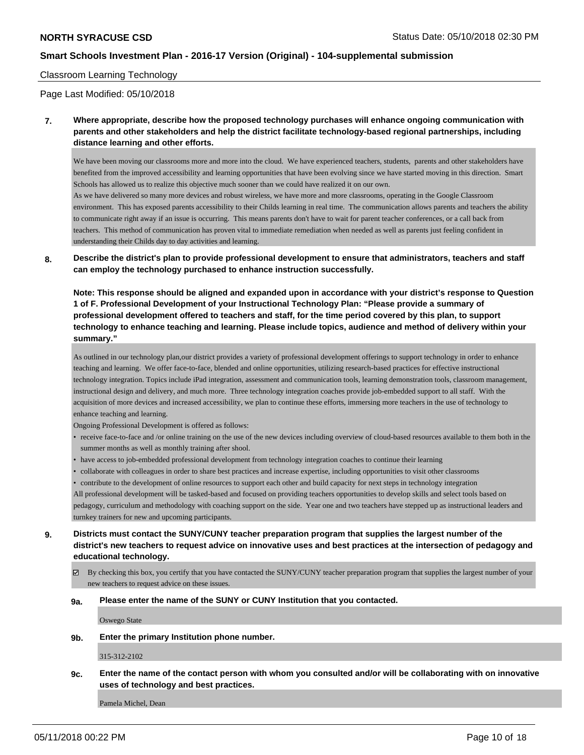#### Classroom Learning Technology

Page Last Modified: 05/10/2018

**7. Where appropriate, describe how the proposed technology purchases will enhance ongoing communication with parents and other stakeholders and help the district facilitate technology-based regional partnerships, including distance learning and other efforts.**

We have been moving our classrooms more and more into the cloud. We have experienced teachers, students, parents and other stakeholders have benefited from the improved accessibility and learning opportunities that have been evolving since we have started moving in this direction. Smart Schools has allowed us to realize this objective much sooner than we could have realized it on our own.

As we have delivered so many more devices and robust wireless, we have more and more classrooms, operating in the Google Classroom environment. This has exposed parents accessibility to their Childs learning in real time. The communication allows parents and teachers the ability to communicate right away if an issue is occurring. This means parents don't have to wait for parent teacher conferences, or a call back from teachers. This method of communication has proven vital to immediate remediation when needed as well as parents just feeling confident in understanding their Childs day to day activities and learning.

**8. Describe the district's plan to provide professional development to ensure that administrators, teachers and staff can employ the technology purchased to enhance instruction successfully.**

**Note: This response should be aligned and expanded upon in accordance with your district's response to Question 1 of F. Professional Development of your Instructional Technology Plan: "Please provide a summary of professional development offered to teachers and staff, for the time period covered by this plan, to support technology to enhance teaching and learning. Please include topics, audience and method of delivery within your summary."**

As outlined in our technology plan,our district provides a variety of professional development offerings to support technology in order to enhance teaching and learning. We offer face-to-face, blended and online opportunities, utilizing research-based practices for effective instructional technology integration. Topics include iPad integration, assessment and communication tools, learning demonstration tools, classroom management, instructional design and delivery, and much more. Three technology integration coaches provide job-embedded support to all staff. With the acquisition of more devices and increased accessibility, we plan to continue these efforts, immersing more teachers in the use of technology to enhance teaching and learning.

Ongoing Professional Development is offered as follows:

- receive face-to-face and /or online training on the use of the new devices including overview of cloud-based resources available to them both in the summer months as well as monthly training after shool.
- have access to job-embedded professional development from technology integration coaches to continue their learning
- collaborate with colleagues in order to share best practices and increase expertise, including opportunities to visit other classrooms
- contribute to the development of online resources to support each other and build capacity for next steps in technology integration

All professional development will be tasked-based and focused on providing teachers opportunities to develop skills and select tools based on pedagogy, curriculum and methodology with coaching support on the side. Year one and two teachers have stepped up as instructional leaders and turnkey trainers for new and upcoming participants.

- **9. Districts must contact the SUNY/CUNY teacher preparation program that supplies the largest number of the district's new teachers to request advice on innovative uses and best practices at the intersection of pedagogy and educational technology.**
	- By checking this box, you certify that you have contacted the SUNY/CUNY teacher preparation program that supplies the largest number of your new teachers to request advice on these issues.

#### **9a. Please enter the name of the SUNY or CUNY Institution that you contacted.**

Oswego State

**9b. Enter the primary Institution phone number.**

315-312-2102

**9c. Enter the name of the contact person with whom you consulted and/or will be collaborating with on innovative uses of technology and best practices.**

Pamela Michel, Dean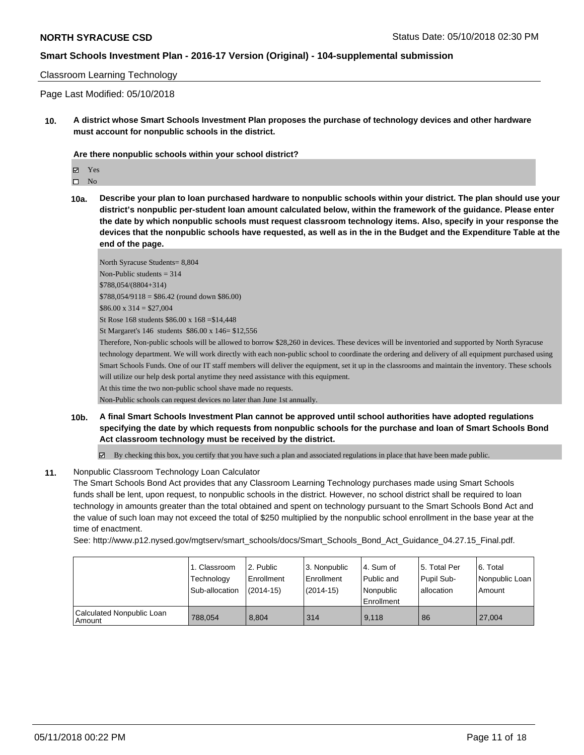#### Classroom Learning Technology

Page Last Modified: 05/10/2018

**10. A district whose Smart Schools Investment Plan proposes the purchase of technology devices and other hardware must account for nonpublic schools in the district.**

#### **Are there nonpublic schools within your school district?**

- $\square$  No
- **10a. Describe your plan to loan purchased hardware to nonpublic schools within your district. The plan should use your district's nonpublic per-student loan amount calculated below, within the framework of the guidance. Please enter the date by which nonpublic schools must request classroom technology items. Also, specify in your response the devices that the nonpublic schools have requested, as well as in the in the Budget and the Expenditure Table at the end of the page.**

North Syracuse Students= 8,804 Non-Public students = 314 \$788,054/(8804+314) \$788,054/9118 = \$86.42 (round down \$86.00)  $$86.00 \times 314 = $27,004$ St Rose 168 students \$86.00 x 168 =\$14,448 St Margaret's 146 students \$86.00 x 146= \$12,556

Therefore, Non-public schools will be allowed to borrow \$28,260 in devices. These devices will be inventoried and supported by North Syracuse technology department. We will work directly with each non-public school to coordinate the ordering and delivery of all equipment purchased using Smart Schools Funds. One of our IT staff members will deliver the equipment, set it up in the classrooms and maintain the inventory. These schools will utilize our help desk portal anytime they need assistance with this equipment.

At this time the two non-public school shave made no requests.

Non-Public schools can request devices no later than June 1st annually.

**10b. A final Smart Schools Investment Plan cannot be approved until school authorities have adopted regulations specifying the date by which requests from nonpublic schools for the purchase and loan of Smart Schools Bond Act classroom technology must be received by the district.**

 $\boxtimes$  By checking this box, you certify that you have such a plan and associated regulations in place that have been made public.

#### **11.** Nonpublic Classroom Technology Loan Calculator

The Smart Schools Bond Act provides that any Classroom Learning Technology purchases made using Smart Schools funds shall be lent, upon request, to nonpublic schools in the district. However, no school district shall be required to loan technology in amounts greater than the total obtained and spent on technology pursuant to the Smart Schools Bond Act and the value of such loan may not exceed the total of \$250 multiplied by the nonpublic school enrollment in the base year at the time of enactment.

See: http://www.p12.nysed.gov/mgtserv/smart\_schools/docs/Smart\_Schools\_Bond\_Act\_Guidance\_04.27.15\_Final.pdf.

|                                     | 1. Classroom<br>Technology<br>Sub-allocation | 2. Public<br>Enrollment<br>(2014-15) | 3. Nonpublic<br>Enrollment<br>$(2014-15)$ | l 4. Sum of<br>Public and<br>Nonpublic<br>l Enrollment | 15. Total Per<br>Pupil Sub-<br>allocation | 6. Total<br>Nonpublic Loan<br>Amount |
|-------------------------------------|----------------------------------------------|--------------------------------------|-------------------------------------------|--------------------------------------------------------|-------------------------------------------|--------------------------------------|
| Calculated Nonpublic Loan<br>Amount | 788.054                                      | 8.804                                | 314                                       | 9.118                                                  | 86                                        | 27.004                               |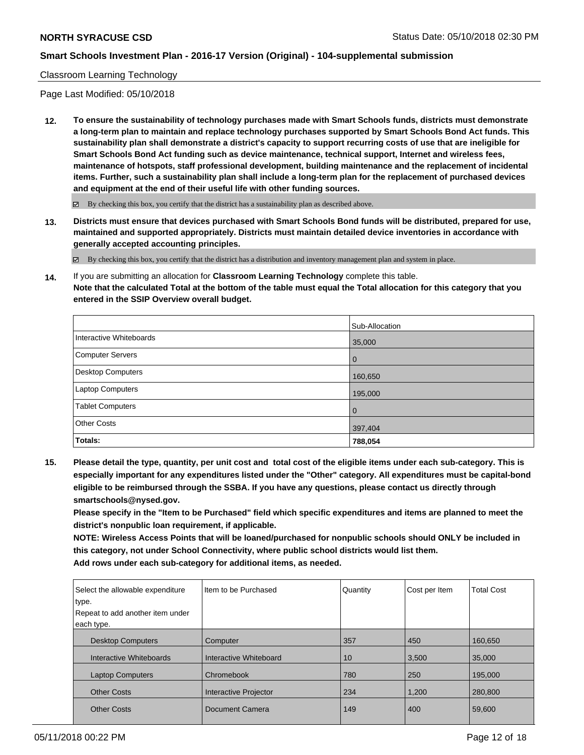## Classroom Learning Technology

Page Last Modified: 05/10/2018

**12. To ensure the sustainability of technology purchases made with Smart Schools funds, districts must demonstrate a long-term plan to maintain and replace technology purchases supported by Smart Schools Bond Act funds. This sustainability plan shall demonstrate a district's capacity to support recurring costs of use that are ineligible for Smart Schools Bond Act funding such as device maintenance, technical support, Internet and wireless fees, maintenance of hotspots, staff professional development, building maintenance and the replacement of incidental items. Further, such a sustainability plan shall include a long-term plan for the replacement of purchased devices and equipment at the end of their useful life with other funding sources.**

 $\boxtimes$  By checking this box, you certify that the district has a sustainability plan as described above.

**13. Districts must ensure that devices purchased with Smart Schools Bond funds will be distributed, prepared for use, maintained and supported appropriately. Districts must maintain detailed device inventories in accordance with generally accepted accounting principles.**

By checking this box, you certify that the district has a distribution and inventory management plan and system in place.

**14.** If you are submitting an allocation for **Classroom Learning Technology** complete this table. **Note that the calculated Total at the bottom of the table must equal the Total allocation for this category that you entered in the SSIP Overview overall budget.**

|                          | Sub-Allocation |
|--------------------------|----------------|
| Interactive Whiteboards  | 35,000         |
| Computer Servers         | $\overline{0}$ |
| <b>Desktop Computers</b> | 160,650        |
| Laptop Computers         | 195,000        |
| <b>Tablet Computers</b>  | $\overline{0}$ |
| <b>Other Costs</b>       | 397,404        |
| Totals:                  | 788,054        |

**15. Please detail the type, quantity, per unit cost and total cost of the eligible items under each sub-category. This is especially important for any expenditures listed under the "Other" category. All expenditures must be capital-bond eligible to be reimbursed through the SSBA. If you have any questions, please contact us directly through smartschools@nysed.gov.**

**Please specify in the "Item to be Purchased" field which specific expenditures and items are planned to meet the district's nonpublic loan requirement, if applicable.**

**NOTE: Wireless Access Points that will be loaned/purchased for nonpublic schools should ONLY be included in this category, not under School Connectivity, where public school districts would list them. Add rows under each sub-category for additional items, as needed.**

| Select the allowable expenditure<br>type. | Iltem to be Purchased  | Quantity | Cost per Item | <b>Total Cost</b> |
|-------------------------------------------|------------------------|----------|---------------|-------------------|
| Repeat to add another item under          |                        |          |               |                   |
| each type.                                |                        |          |               |                   |
| <b>Desktop Computers</b>                  | Computer               | 357      | 450           | 160.650           |
| Interactive Whiteboards                   | Interactive Whiteboard | 10       | 3,500         | 35,000            |
| <b>Laptop Computers</b>                   | Chromebook             | 780      | 250           | 195.000           |
| <b>Other Costs</b>                        | Interactive Projector  | 234      | 1,200         | 280,800           |
| <b>Other Costs</b>                        | Document Camera        | 149      | 400           | 59,600            |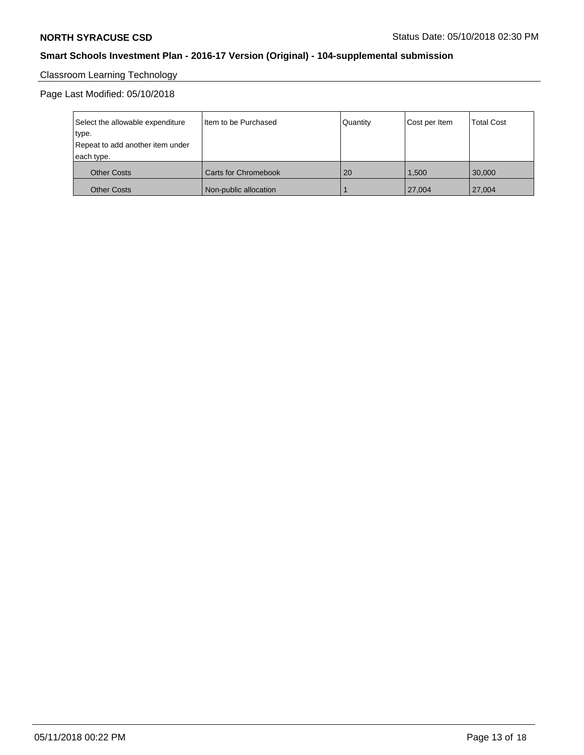# Classroom Learning Technology

## Page Last Modified: 05/10/2018

| Select the allowable expenditure<br>type.<br>Repeat to add another item under<br>each type. | I Item to be Purchased      | Quantity | Cost per Item | <b>Total Cost</b> |
|---------------------------------------------------------------------------------------------|-----------------------------|----------|---------------|-------------------|
| <b>Other Costs</b>                                                                          | <b>Carts for Chromebook</b> | 20       | 1.500         | 30,000            |
| <b>Other Costs</b>                                                                          | Non-public allocation       |          | 27,004        | 27,004            |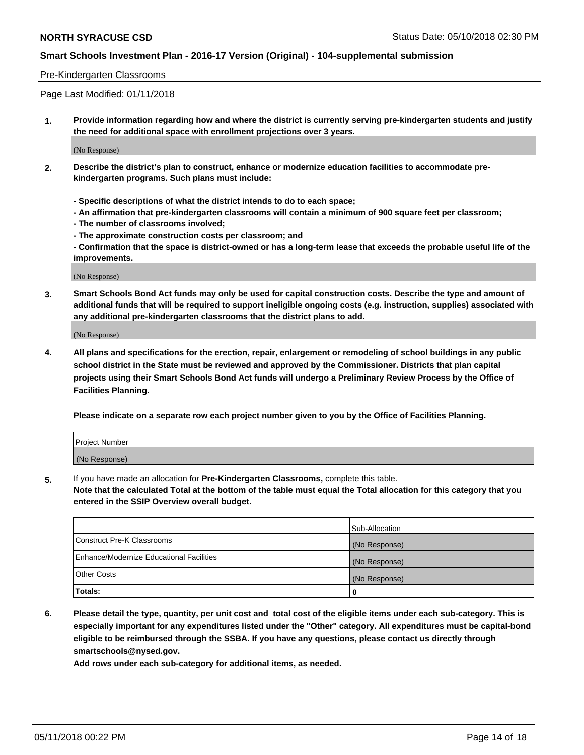### Pre-Kindergarten Classrooms

Page Last Modified: 01/11/2018

**1. Provide information regarding how and where the district is currently serving pre-kindergarten students and justify the need for additional space with enrollment projections over 3 years.**

(No Response)

- **2. Describe the district's plan to construct, enhance or modernize education facilities to accommodate prekindergarten programs. Such plans must include:**
	- **Specific descriptions of what the district intends to do to each space;**
	- **An affirmation that pre-kindergarten classrooms will contain a minimum of 900 square feet per classroom;**
	- **The number of classrooms involved;**
	- **The approximate construction costs per classroom; and**
	- **Confirmation that the space is district-owned or has a long-term lease that exceeds the probable useful life of the improvements.**

(No Response)

**3. Smart Schools Bond Act funds may only be used for capital construction costs. Describe the type and amount of additional funds that will be required to support ineligible ongoing costs (e.g. instruction, supplies) associated with any additional pre-kindergarten classrooms that the district plans to add.**

(No Response)

**4. All plans and specifications for the erection, repair, enlargement or remodeling of school buildings in any public school district in the State must be reviewed and approved by the Commissioner. Districts that plan capital projects using their Smart Schools Bond Act funds will undergo a Preliminary Review Process by the Office of Facilities Planning.**

**Please indicate on a separate row each project number given to you by the Office of Facilities Planning.**

| <b>Project Number</b> |  |
|-----------------------|--|
| (No Response)         |  |

**5.** If you have made an allocation for **Pre-Kindergarten Classrooms,** complete this table.

**Note that the calculated Total at the bottom of the table must equal the Total allocation for this category that you entered in the SSIP Overview overall budget.**

|                                          | Sub-Allocation |
|------------------------------------------|----------------|
| Construct Pre-K Classrooms               | (No Response)  |
| Enhance/Modernize Educational Facilities | (No Response)  |
| Other Costs                              | (No Response)  |
| Totals:                                  | 0              |

**6. Please detail the type, quantity, per unit cost and total cost of the eligible items under each sub-category. This is especially important for any expenditures listed under the "Other" category. All expenditures must be capital-bond eligible to be reimbursed through the SSBA. If you have any questions, please contact us directly through smartschools@nysed.gov.**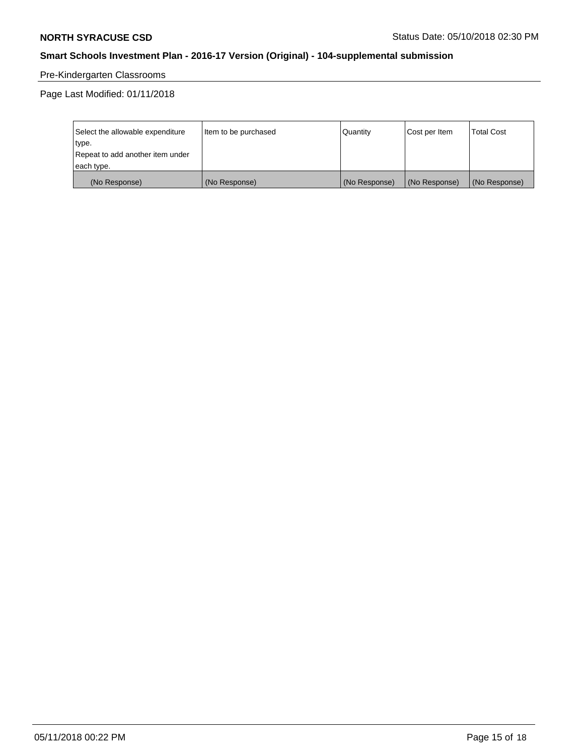# Pre-Kindergarten Classrooms

Page Last Modified: 01/11/2018

| Select the allowable expenditure | Item to be purchased | Quantity      | Cost per Item | <b>Total Cost</b> |
|----------------------------------|----------------------|---------------|---------------|-------------------|
| type.                            |                      |               |               |                   |
| Repeat to add another item under |                      |               |               |                   |
| each type.                       |                      |               |               |                   |
| (No Response)                    | (No Response)        | (No Response) | (No Response) | (No Response)     |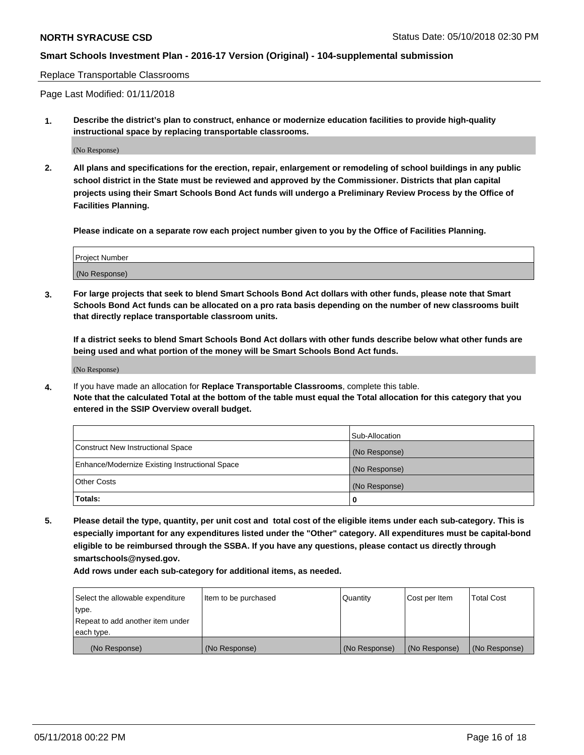Replace Transportable Classrooms

Page Last Modified: 01/11/2018

**1. Describe the district's plan to construct, enhance or modernize education facilities to provide high-quality instructional space by replacing transportable classrooms.**

(No Response)

**2. All plans and specifications for the erection, repair, enlargement or remodeling of school buildings in any public school district in the State must be reviewed and approved by the Commissioner. Districts that plan capital projects using their Smart Schools Bond Act funds will undergo a Preliminary Review Process by the Office of Facilities Planning.**

**Please indicate on a separate row each project number given to you by the Office of Facilities Planning.**

| <b>Project Number</b> |  |
|-----------------------|--|
| (No Response)         |  |
|                       |  |

**3. For large projects that seek to blend Smart Schools Bond Act dollars with other funds, please note that Smart Schools Bond Act funds can be allocated on a pro rata basis depending on the number of new classrooms built that directly replace transportable classroom units.**

**If a district seeks to blend Smart Schools Bond Act dollars with other funds describe below what other funds are being used and what portion of the money will be Smart Schools Bond Act funds.**

(No Response)

**4.** If you have made an allocation for **Replace Transportable Classrooms**, complete this table. **Note that the calculated Total at the bottom of the table must equal the Total allocation for this category that you entered in the SSIP Overview overall budget.**

|                                                | Sub-Allocation |
|------------------------------------------------|----------------|
| Construct New Instructional Space              | (No Response)  |
| Enhance/Modernize Existing Instructional Space | (No Response)  |
| Other Costs                                    | (No Response)  |
| Totals:                                        | 0              |

**5. Please detail the type, quantity, per unit cost and total cost of the eligible items under each sub-category. This is especially important for any expenditures listed under the "Other" category. All expenditures must be capital-bond eligible to be reimbursed through the SSBA. If you have any questions, please contact us directly through smartschools@nysed.gov.**

| Select the allowable expenditure | Item to be purchased | Quantity      | Cost per Item | <b>Total Cost</b> |
|----------------------------------|----------------------|---------------|---------------|-------------------|
| type.                            |                      |               |               |                   |
| Repeat to add another item under |                      |               |               |                   |
| each type.                       |                      |               |               |                   |
| (No Response)                    | (No Response)        | (No Response) | (No Response) | (No Response)     |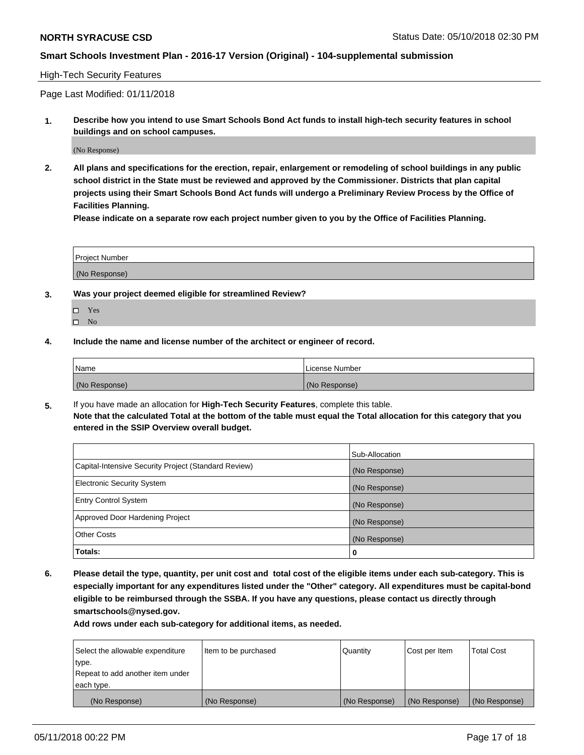## High-Tech Security Features

Page Last Modified: 01/11/2018

**1. Describe how you intend to use Smart Schools Bond Act funds to install high-tech security features in school buildings and on school campuses.**

(No Response)

**2. All plans and specifications for the erection, repair, enlargement or remodeling of school buildings in any public school district in the State must be reviewed and approved by the Commissioner. Districts that plan capital projects using their Smart Schools Bond Act funds will undergo a Preliminary Review Process by the Office of Facilities Planning.** 

**Please indicate on a separate row each project number given to you by the Office of Facilities Planning.**

| <b>Project Number</b> |  |  |
|-----------------------|--|--|
|                       |  |  |
| (No Response)         |  |  |

- **3. Was your project deemed eligible for streamlined Review?**
	- Yes  $\square$  No
- **4. Include the name and license number of the architect or engineer of record.**

| Name          | License Number |
|---------------|----------------|
| (No Response) | (No Response)  |

**5.** If you have made an allocation for **High-Tech Security Features**, complete this table. **Note that the calculated Total at the bottom of the table must equal the Total allocation for this category that you entered in the SSIP Overview overall budget.**

|                                                      | Sub-Allocation |
|------------------------------------------------------|----------------|
| Capital-Intensive Security Project (Standard Review) | (No Response)  |
| <b>Electronic Security System</b>                    | (No Response)  |
| <b>Entry Control System</b>                          | (No Response)  |
| Approved Door Hardening Project                      | (No Response)  |
| <b>Other Costs</b>                                   | (No Response)  |
| Totals:                                              | 0              |

**6. Please detail the type, quantity, per unit cost and total cost of the eligible items under each sub-category. This is especially important for any expenditures listed under the "Other" category. All expenditures must be capital-bond eligible to be reimbursed through the SSBA. If you have any questions, please contact us directly through smartschools@nysed.gov.**

| Select the allowable expenditure | Item to be purchased | Quantity      | Cost per Item | <b>Total Cost</b> |
|----------------------------------|----------------------|---------------|---------------|-------------------|
| type.                            |                      |               |               |                   |
| Repeat to add another item under |                      |               |               |                   |
| each type.                       |                      |               |               |                   |
| (No Response)                    | (No Response)        | (No Response) | (No Response) | (No Response)     |